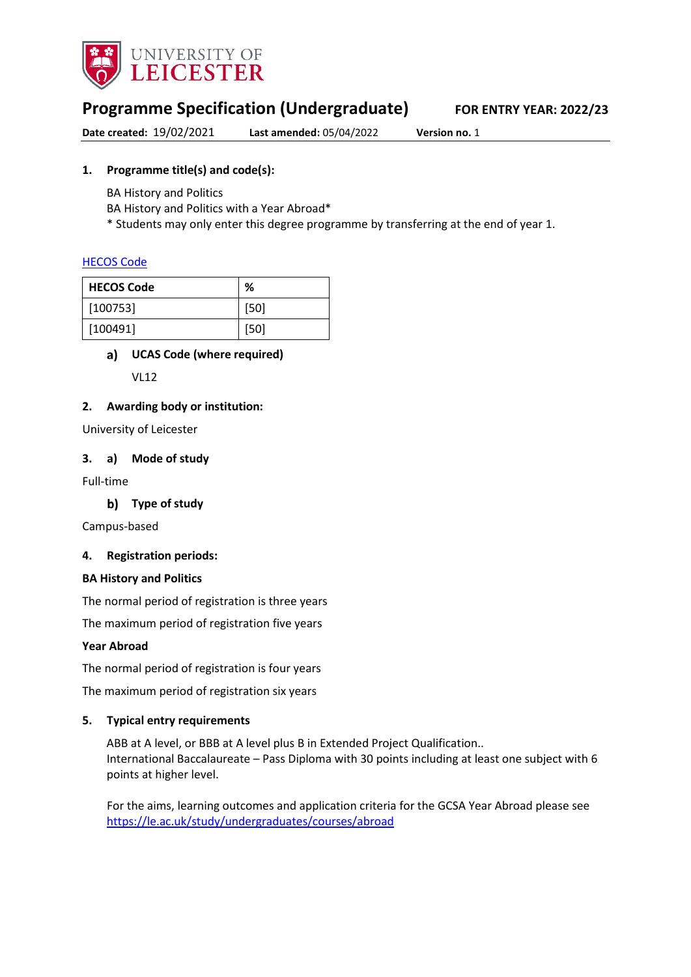

# **Programme Specification (Undergraduate) FOR ENTRY YEAR: 2022/23**

**Date created:** 19/02/2021 **Last amended:** 05/04/2022 **Version no.** 1

# **1. Programme title(s) and code(s):**

BA History and Politics

BA History and Politics with a Year Abroad\*

\* Students may only enter this degree programme by transferring at the end of year 1.

### [HECOS Code](https://www.hesa.ac.uk/innovation/hecos)

| <b>HECOS Code</b> | %      |
|-------------------|--------|
| [100753]          | [50]   |
| [100491]          | $[50]$ |

# **UCAS Code (where required)**

VL12

### **2. Awarding body or institution:**

University of Leicester

### **3. a) Mode of study**

Full-time

**Type of study**

Campus-based

### **4. Registration periods:**

### **BA History and Politics**

The normal period of registration is three years

The maximum period of registration five years

### **Year Abroad**

The normal period of registration is four years

The maximum period of registration six years

### **5. Typical entry requirements**

ABB at A level, or BBB at A level plus B in Extended Project Qualification.. International Baccalaureate – Pass Diploma with 30 points including at least one subject with 6 points at higher level.

For the aims, learning outcomes and application criteria for the GCSA Year Abroad please see <https://le.ac.uk/study/undergraduates/courses/abroad>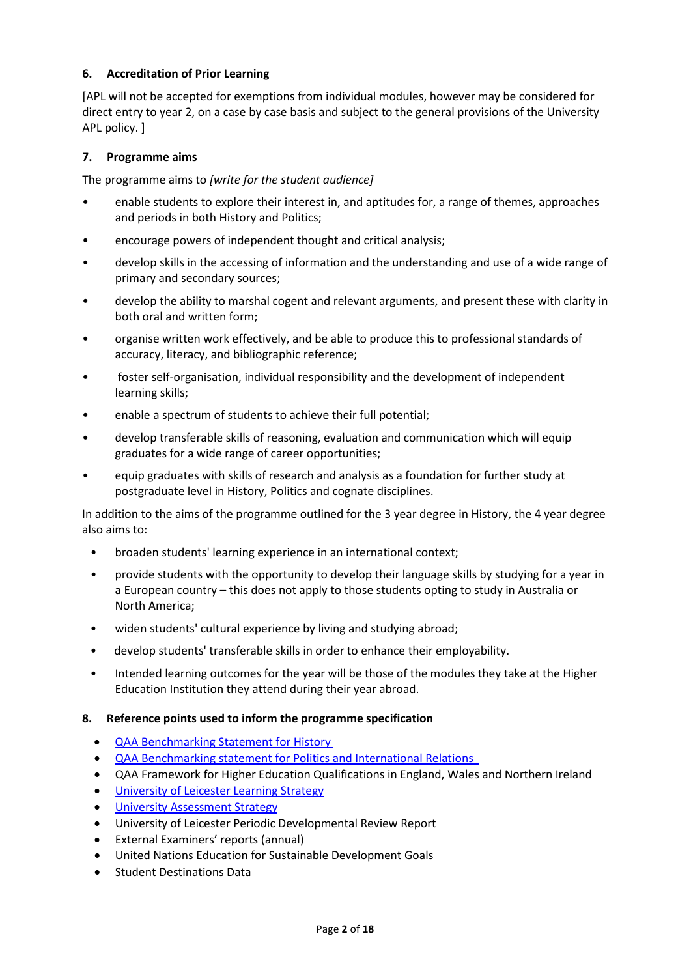### **6. Accreditation of Prior Learning**

[APL will not be accepted for exemptions from individual modules, however may be considered for direct entry to year 2, on a case by case basis and subject to the general provisions of the University APL policy. ]

### **7. Programme aims**

The programme aims to *[write for the student audience]*

- enable students to explore their interest in, and aptitudes for, a range of themes, approaches and periods in both History and Politics;
- encourage powers of independent thought and critical analysis;
- develop skills in the accessing of information and the understanding and use of a wide range of primary and secondary sources;
- develop the ability to marshal cogent and relevant arguments, and present these with clarity in both oral and written form;
- organise written work effectively, and be able to produce this to professional standards of accuracy, literacy, and bibliographic reference;
- foster self-organisation, individual responsibility and the development of independent learning skills;
- enable a spectrum of students to achieve their full potential;
- develop transferable skills of reasoning, evaluation and communication which will equip graduates for a wide range of career opportunities;
- equip graduates with skills of research and analysis as a foundation for further study at postgraduate level in History, Politics and cognate disciplines.

In addition to the aims of the programme outlined for the 3 year degree in History, the 4 year degree also aims to:

- broaden students' learning experience in an international context;
- provide students with the opportunity to develop their language skills by studying for a year in a European country – this does not apply to those students opting to study in Australia or North America;
- widen students' cultural experience by living and studying abroad;
- develop students' transferable skills in order to enhance their employability.
- Intended learning outcomes for the year will be those of the modules they take at the Higher Education Institution they attend during their year abroad.
- **8. Reference points used to inform the programme specification**
	- [QAA Benchmarking Statement for History](http://www.qaa.ac.uk/en/Publications/Documents/SBS-history-14.pdfQAA)
	- [QAA Benchmarking statement for Politics and International Relations](file://UOL/root/Departments/Student%20and%20Academic%20Services/Quality%20Office/Curriculum%20Change/2021-22%20(Nov%20and%20Dec%202020)/CSSAH/HYPIR/Accesisble%20Specs/History/%E2%80%A2%09http:/www.qaa.ac.uk/en/Publications/Documents/SBS-politics-15.pdf)
	- QAA Framework for Higher Education Qualifications in England, Wales and Northern Ireland
	- [University of Leicester Learning Strategy](http://www2.le.ac.uk/offices/sas2/quality/learnteach)
	- [University Assessment Strategy](https://www2.le.ac.uk/offices/sas2/quality/learnteach)
	- University of Leicester Periodic Developmental Review Report
	- External Examiners' reports (annual)
	- United Nations Education for Sustainable Development Goals
	- Student Destinations Data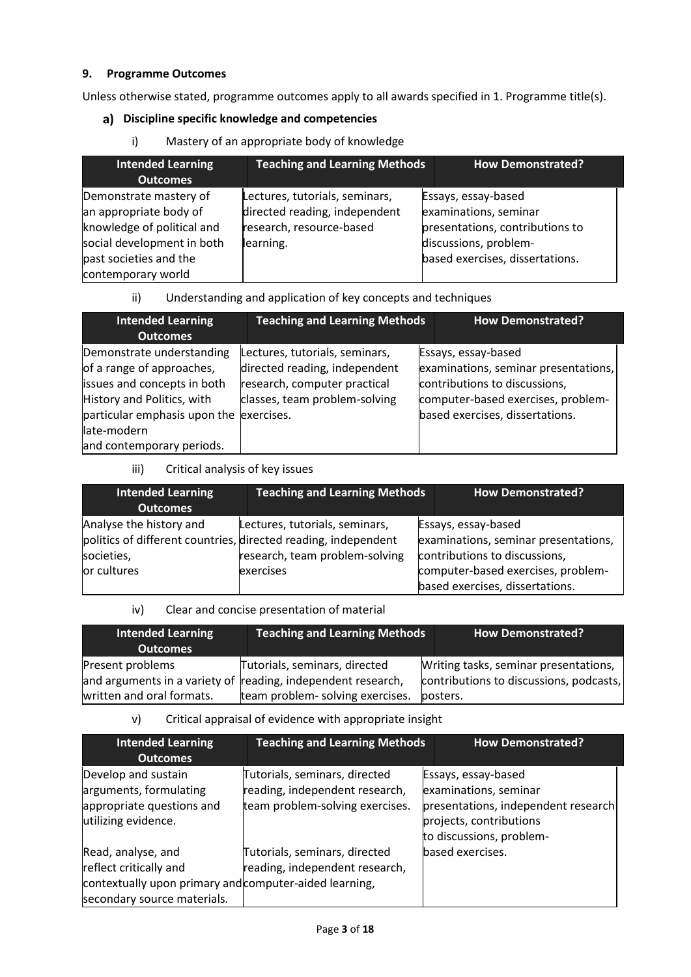### **9. Programme Outcomes**

Unless otherwise stated, programme outcomes apply to all awards specified in 1. Programme title(s).

# **Discipline specific knowledge and competencies**

i) Mastery of an appropriate body of knowledge

| <b>Intended Learning</b><br><b>Outcomes</b>                                                                                                                  | <b>Teaching and Learning Methods</b>                                                                     | <b>How Demonstrated?</b>                                                                                                                    |  |
|--------------------------------------------------------------------------------------------------------------------------------------------------------------|----------------------------------------------------------------------------------------------------------|---------------------------------------------------------------------------------------------------------------------------------------------|--|
| Demonstrate mastery of<br>an appropriate body of<br>knowledge of political and<br>social development in both<br>past societies and the<br>contemporary world | Lectures, tutorials, seminars,<br>directed reading, independent<br>research, resource-based<br>learning. | Essays, essay-based<br>examinations, seminar<br>presentations, contributions to<br>discussions, problem-<br>based exercises, dissertations. |  |

# ii) Understanding and application of key concepts and techniques

| <b>Intended Learning</b>                | <b>Teaching and Learning Methods</b> | <b>How Demonstrated?</b>             |
|-----------------------------------------|--------------------------------------|--------------------------------------|
| <b>Outcomes</b>                         |                                      |                                      |
| Demonstrate understanding               | Lectures, tutorials, seminars,       | Essays, essay-based                  |
| of a range of approaches,               | directed reading, independent        | examinations, seminar presentations, |
| issues and concepts in both             | research, computer practical         | contributions to discussions,        |
| History and Politics, with              | classes, team problem-solving        | computer-based exercises, problem-   |
| particular emphasis upon the exercises. |                                      | based exercises, dissertations.      |
| late-modern                             |                                      |                                      |
| and contemporary periods.               |                                      |                                      |

### iii) Critical analysis of key issues

|                                                                                                                                                 | <b>How Demonstrated?</b>                                                                                                           |
|-------------------------------------------------------------------------------------------------------------------------------------------------|------------------------------------------------------------------------------------------------------------------------------------|
| Lectures, tutorials, seminars,<br>politics of different countries, directed reading, independent<br>research, team problem-solving<br>exercises | Essays, essay-based<br>examinations, seminar presentations,<br>contributions to discussions,<br>computer-based exercises, problem- |
|                                                                                                                                                 | <b>Teaching and Learning Methods</b><br>based exercises, dissertations.                                                            |

iv) Clear and concise presentation of material

| <b>Intended Learning</b><br><b>Outcomes</b> | <b>Teaching and Learning Methods</b>                         | <b>How Demonstrated?</b>                |
|---------------------------------------------|--------------------------------------------------------------|-----------------------------------------|
| Present problems                            | Tutorials, seminars, directed                                | Writing tasks, seminar presentations,   |
|                                             | and arguments in a variety of reading, independent research, | contributions to discussions, podcasts, |
| written and oral formats.                   | team problem- solving exercises.                             | posters.                                |

### v) Critical appraisal of evidence with appropriate insight

| <b>Intended Learning</b><br><b>Outcomes</b>                                                                                           | <b>Teaching and Learning Methods</b>                                                               | <b>How Demonstrated?</b>                                                                                                                   |
|---------------------------------------------------------------------------------------------------------------------------------------|----------------------------------------------------------------------------------------------------|--------------------------------------------------------------------------------------------------------------------------------------------|
| Develop and sustain<br>arguments, formulating<br>appropriate questions and<br>utilizing evidence.                                     | Tutorials, seminars, directed<br>reading, independent research,<br>team problem-solving exercises. | Essays, essay-based<br>examinations, seminar<br>presentations, independent research<br>projects, contributions<br>to discussions, problem- |
| Read, analyse, and<br>reflect critically and<br>contextually upon primary and computer-aided learning,<br>secondary source materials. | Tutorials, seminars, directed<br>reading, independent research,                                    | based exercises.                                                                                                                           |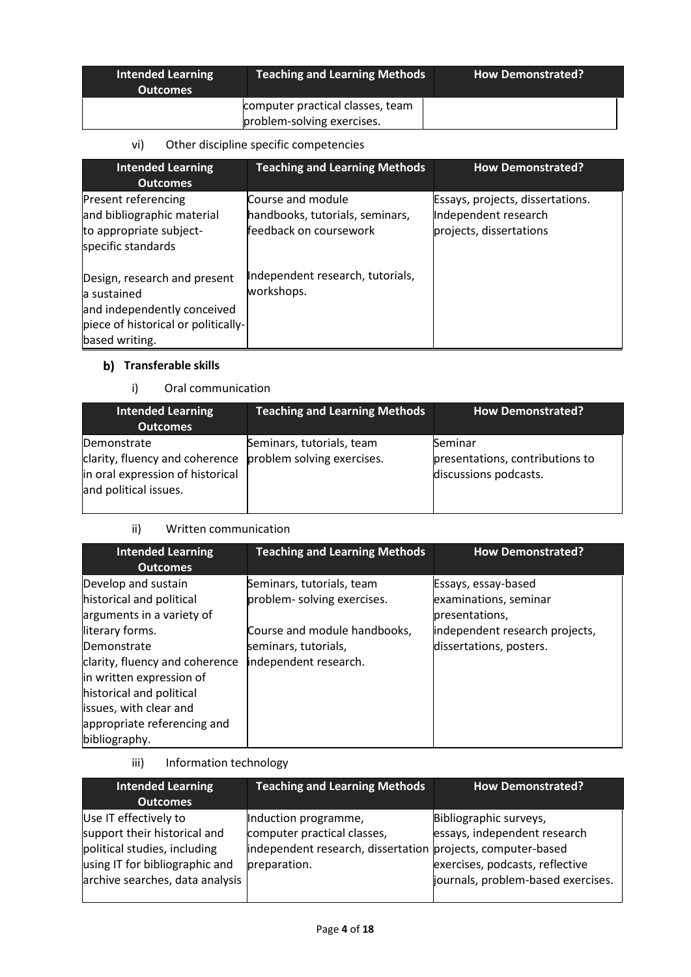| <b>Intended Learning</b><br><b>Outcomes</b> | <b>Teaching and Learning Methods</b>                           | <b>How Demonstrated?</b> |
|---------------------------------------------|----------------------------------------------------------------|--------------------------|
|                                             | computer practical classes, team<br>problem-solving exercises. |                          |

# vi) Other discipline specific competencies

| <b>Intended Learning</b><br><b>Outcomes</b>                                                                                         | <b>Teaching and Learning Methods</b>                                           | <b>How Demonstrated?</b>                                                            |
|-------------------------------------------------------------------------------------------------------------------------------------|--------------------------------------------------------------------------------|-------------------------------------------------------------------------------------|
| Present referencing<br>and bibliographic material<br>to appropriate subject-<br>specific standards                                  | Course and module<br>handbooks, tutorials, seminars,<br>feedback on coursework | Essays, projects, dissertations.<br>Independent research<br>projects, dissertations |
| Design, research and present<br>a sustained<br>and independently conceived<br>piece of historical or politically-<br>based writing. | Independent research, tutorials,<br>workshops.                                 |                                                                                     |

# **b)** Transferable skills

i) Oral communication

| <b>Intended Learning</b><br><b>Outcomes</b>                                                                | <b>Teaching and Learning Methods</b>                    | <b>How Demonstrated?</b>                                            |
|------------------------------------------------------------------------------------------------------------|---------------------------------------------------------|---------------------------------------------------------------------|
| Demonstrate<br>clarity, fluency and coherence<br>in oral expression of historical<br>and political issues. | Seminars, tutorials, team<br>problem solving exercises. | Seminar<br>presentations, contributions to<br>discussions podcasts. |

# ii) Written communication

| <b>Intended Learning</b><br><b>Outcomes</b>                                                                                                                                                                                                                                        | <b>Teaching and Learning Methods</b>                                                                                                     | <b>How Demonstrated?</b>                                                                                                    |
|------------------------------------------------------------------------------------------------------------------------------------------------------------------------------------------------------------------------------------------------------------------------------------|------------------------------------------------------------------------------------------------------------------------------------------|-----------------------------------------------------------------------------------------------------------------------------|
| Develop and sustain<br>historical and political<br>arguments in a variety of<br>literary forms.<br>Demonstrate<br>clarity, fluency and coherence<br>in written expression of<br>historical and political<br>issues, with clear and<br>appropriate referencing and<br>bibliography. | Seminars, tutorials, team<br>problem-solving exercises.<br>Course and module handbooks,<br>seminars, tutorials,<br>independent research. | Essays, essay-based<br>examinations, seminar<br>presentations,<br>independent research projects,<br>dissertations, posters. |

iii) Information technology

| <b>Intended Learning</b>        | <b>Teaching and Learning Methods</b>                        | <b>How Demonstrated?</b>           |
|---------------------------------|-------------------------------------------------------------|------------------------------------|
| <b>Outcomes</b>                 |                                                             |                                    |
| Use IT effectively to           | Induction programme,                                        | Bibliographic surveys,             |
| support their historical and    | computer practical classes,                                 | essays, independent research       |
| political studies, including    | independent research, dissertation projects, computer-based |                                    |
| using IT for bibliographic and  | preparation.                                                | exercises, podcasts, reflective    |
| archive searches, data analysis |                                                             | journals, problem-based exercises. |
|                                 |                                                             |                                    |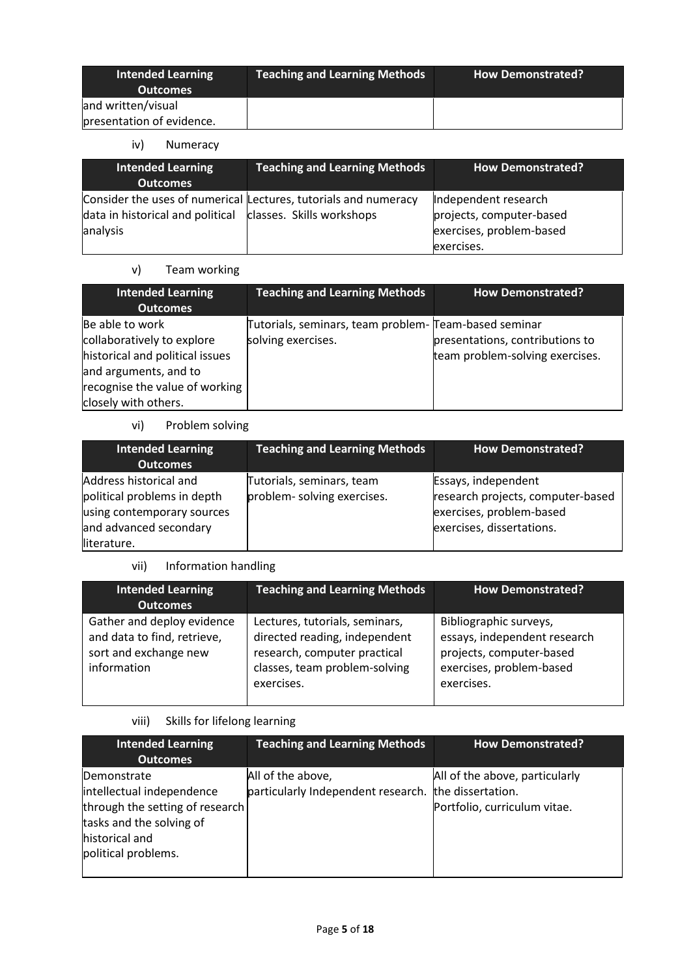| <b>Intended Learning</b><br><b>Outcomes</b> | <b>Teaching and Learning Methods</b> | <b>How Demonstrated?</b> |
|---------------------------------------------|--------------------------------------|--------------------------|
| and written/visual                          |                                      |                          |
| presentation of evidence.                   |                                      |                          |

iv) Numeracy

| <b>Intended Learning</b><br><b>Outcomes</b>                  | <b>Teaching and Learning Methods</b>                            | <b>How Demonstrated?</b>                             |
|--------------------------------------------------------------|-----------------------------------------------------------------|------------------------------------------------------|
|                                                              | Consider the uses of numerical Lectures, tutorials and numeracy | Independent research                                 |
| data in historical and political   classes. Skills workshops |                                                                 | projects, computer-based<br>exercises, problem-based |
| analysis                                                     |                                                                 | exercises.                                           |

# v) Team working

| <b>Intended Learning</b><br><b>Outcomes</b> | <b>Teaching and Learning Methods</b>                  | <b>How Demonstrated?</b>        |
|---------------------------------------------|-------------------------------------------------------|---------------------------------|
| Be able to work                             | Tutorials, seminars, team problem- Team-based seminar |                                 |
| collaboratively to explore                  | solving exercises.                                    | presentations, contributions to |
| historical and political issues             |                                                       | team problem-solving exercises. |
| and arguments, and to                       |                                                       |                                 |
| recognise the value of working              |                                                       |                                 |
| closely with others.                        |                                                       |                                 |

# vi) Problem solving

| <b>Intended Learning</b><br><b>Outcomes</b>                                                                                  | <b>Teaching and Learning Methods</b>                     | <b>How Demonstrated?</b>                                                                                          |
|------------------------------------------------------------------------------------------------------------------------------|----------------------------------------------------------|-------------------------------------------------------------------------------------------------------------------|
| Address historical and<br>political problems in depth<br>using contemporary sources<br>and advanced secondary<br>literature. | Tutorials, seminars, team<br>problem- solving exercises. | Essays, independent<br>research projects, computer-based<br>exercises, problem-based<br>exercises, dissertations. |

# vii) Information handling

| <b>Intended Learning</b><br><b>Outcomes</b>                                                       | <b>Teaching and Learning Methods</b>                                                                                                           | <b>How Demonstrated?</b>                                                                                                     |
|---------------------------------------------------------------------------------------------------|------------------------------------------------------------------------------------------------------------------------------------------------|------------------------------------------------------------------------------------------------------------------------------|
| Gather and deploy evidence<br>and data to find, retrieve,<br>sort and exchange new<br>information | Lectures, tutorials, seminars,<br>directed reading, independent<br>research, computer practical<br>classes, team problem-solving<br>exercises. | Bibliographic surveys,<br>essays, independent research<br>projects, computer-based<br>exercises, problem-based<br>exercises. |

# viii) Skills for lifelong learning

| <b>Intended Learning</b><br><b>Outcomes</b>                                                                                                      | <b>Teaching and Learning Methods</b>                    | <b>How Demonstrated?</b>                                                            |
|--------------------------------------------------------------------------------------------------------------------------------------------------|---------------------------------------------------------|-------------------------------------------------------------------------------------|
| Demonstrate<br>intellectual independence<br>through the setting of research<br>tasks and the solving of<br>historical and<br>political problems. | All of the above,<br>particularly Independent research. | All of the above, particularly<br>the dissertation.<br>Portfolio, curriculum vitae. |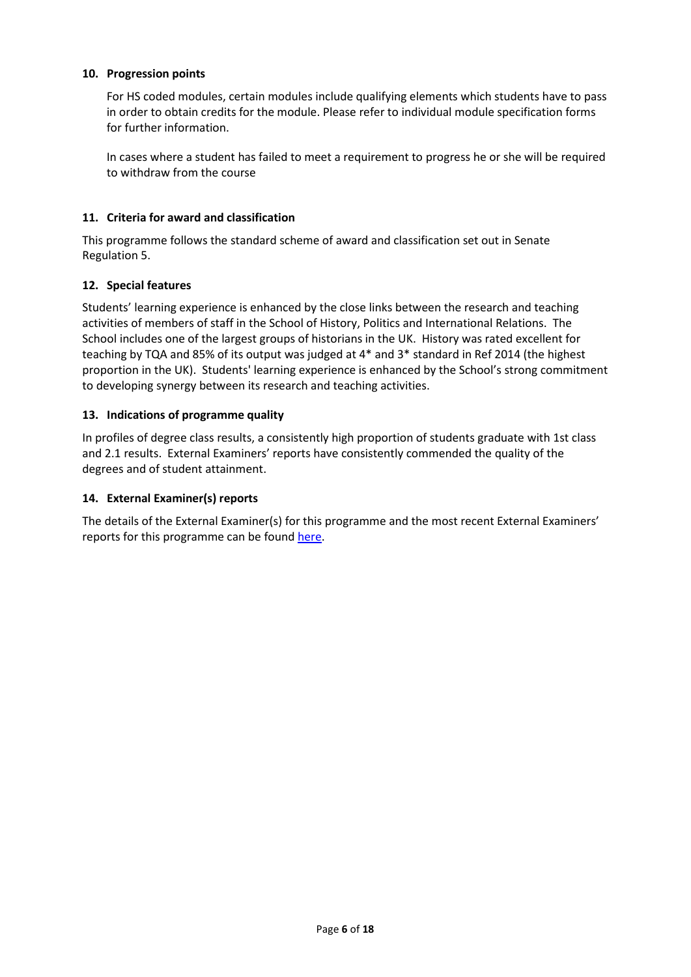### **10. Progression points**

For HS coded modules, certain modules include qualifying elements which students have to pass in order to obtain credits for the module. Please refer to individual module specification forms for further information.

In cases where a student has failed to meet a requirement to progress he or she will be required to withdraw from the course

### **11. Criteria for award and classification**

This programme follows the standard scheme of award and classification set out in Senate Regulation 5.

### **12. Special features**

Students' learning experience is enhanced by the close links between the research and teaching activities of members of staff in the School of History, Politics and International Relations. The School includes one of the largest groups of historians in the UK. History was rated excellent for teaching by TQA and 85% of its output was judged at 4\* and 3\* standard in Ref 2014 (the highest proportion in the UK). Students' learning experience is enhanced by the School's strong commitment to developing synergy between its research and teaching activities.

### **13. Indications of programme quality**

In profiles of degree class results, a consistently high proportion of students graduate with 1st class and 2.1 results. External Examiners' reports have consistently commended the quality of the degrees and of student attainment.

### **14. External Examiner(s) reports**

The details of the External Examiner(s) for this programme and the most recent External Examiners' reports for this programme can be found [here.](https://exampapers.le.ac.uk/xmlui/)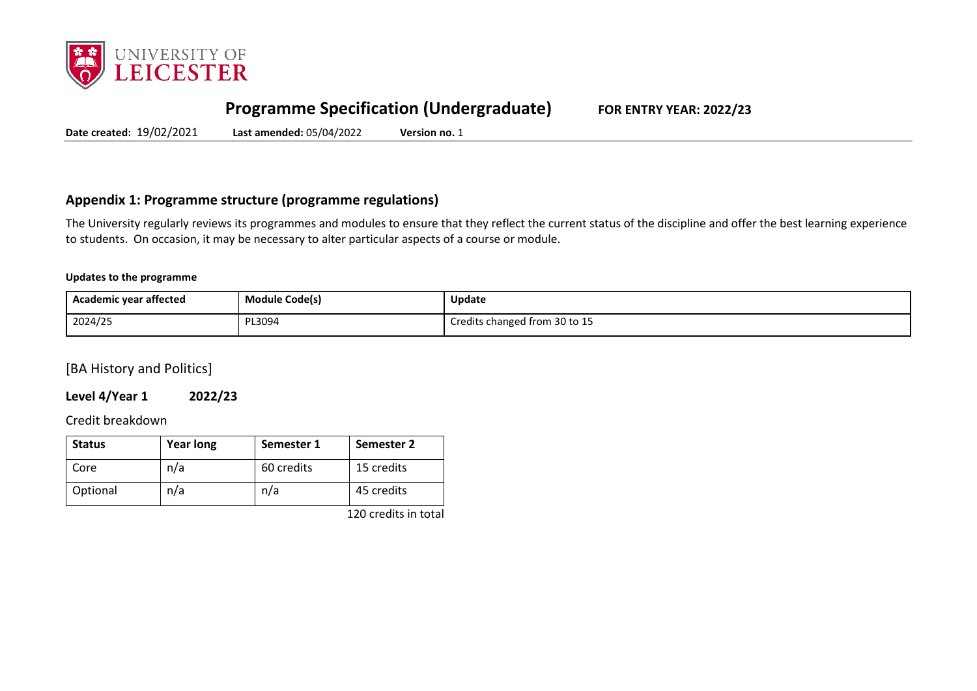

# **Programme Specification (Undergraduate) FOR ENTRY YEAR: 2022/23**

**Date created:** 19/02/2021 **Last amended:** 05/04/2022 **Version no.** 1

# **Appendix 1: Programme structure (programme regulations)**

The University regularly reviews its programmes and modules to ensure that they reflect the current status of the discipline and offer the best learning experience to students. On occasion, it may be necessary to alter particular aspects of a course or module.

### **Updates to the programme**

| Academic year affected | Module Code(s) | <b>Update</b>                 |
|------------------------|----------------|-------------------------------|
| 2024/25                | PL3094         | Credits changed from 30 to 15 |

[BA History and Politics]

**Level 4/Year 1 2022/23**

Credit breakdown

| <b>Status</b> | <b>Year long</b> | Semester 1 | Semester 2 |
|---------------|------------------|------------|------------|
| Core          | n/a              | 60 credits | 15 credits |
| Optional      | n/a              | n/a        | 45 credits |

120 credits in total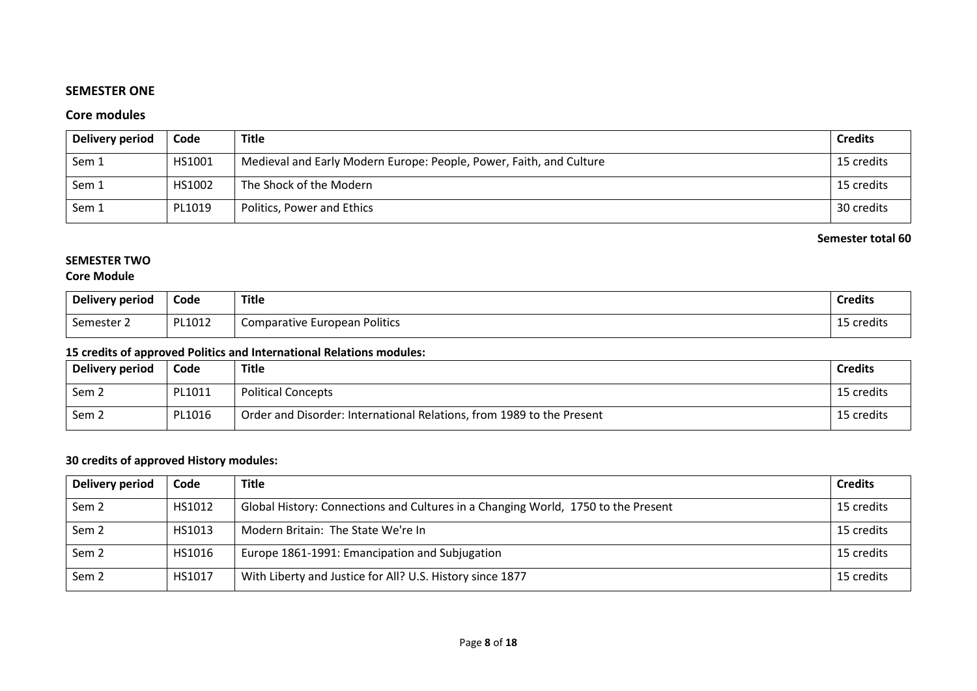# **SEMESTER ONE**

# **Core modules**

| Delivery period | Code   | <b>Title</b>                                                        | <b>Credits</b> |
|-----------------|--------|---------------------------------------------------------------------|----------------|
| Sem 1           | HS1001 | Medieval and Early Modern Europe: People, Power, Faith, and Culture | 15 credits     |
| Sem 1           | HS1002 | The Shock of the Modern                                             | 15 credits     |
| Sem 1           | PL1019 | Politics, Power and Ethics                                          | 30 credits     |

### **Semester total 60**

# **SEMESTER TWO**

# **Core Module**

| <b>Delivery period</b> | Code   | <b>Title</b>                         | <b>Credits</b> |
|------------------------|--------|--------------------------------------|----------------|
| $\sim$<br>Semester 2   | PL1012 | <b>Comparative European Politics</b> | 15 credits     |

# **15 credits of approved Politics and International Relations modules:**

| Delivery period  | Code   | <b>Title</b>                                                          | <b>Credits</b> |
|------------------|--------|-----------------------------------------------------------------------|----------------|
| Sem <sub>2</sub> | PL1011 | <b>Political Concepts</b>                                             | 15 credits     |
| Sem <sub>2</sub> | PL1016 | Order and Disorder: International Relations, from 1989 to the Present | 15 credits     |

# **30 credits of approved History modules:**

| Delivery period  | Code   | <b>Title</b>                                                                      | <b>Credits</b> |
|------------------|--------|-----------------------------------------------------------------------------------|----------------|
| Sem <sub>2</sub> | HS1012 | Global History: Connections and Cultures in a Changing World, 1750 to the Present | 15 credits     |
| Sem <sub>2</sub> | HS1013 | Modern Britain: The State We're In                                                | 15 credits     |
| Sem <sub>2</sub> | HS1016 | Europe 1861-1991: Emancipation and Subjugation                                    | 15 credits     |
| Sem <sub>2</sub> | HS1017 | With Liberty and Justice for All? U.S. History since 1877                         | 15 credits     |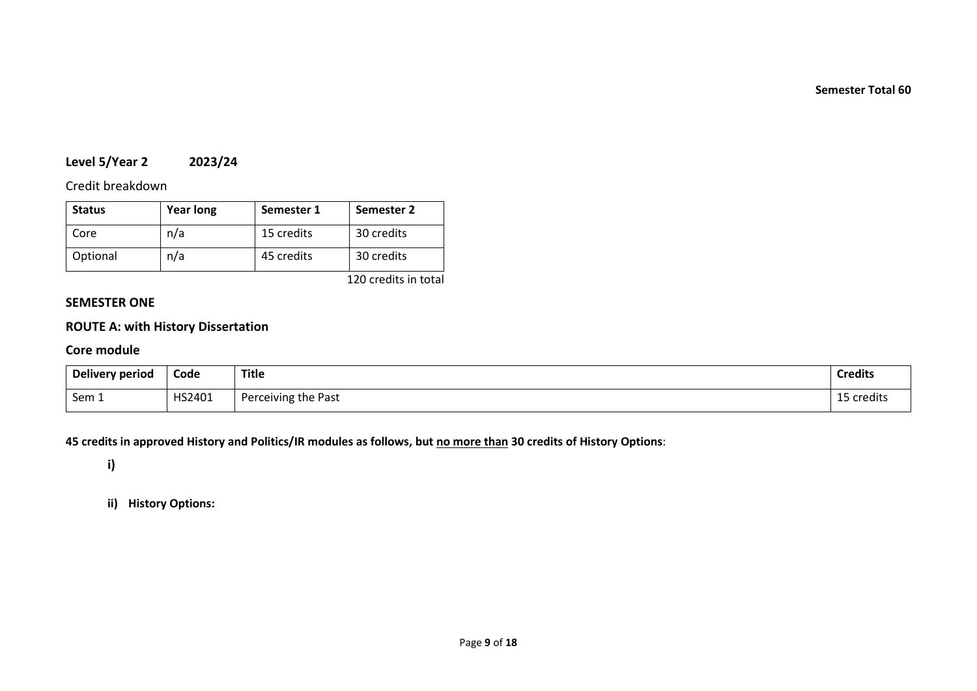**Semester Total 60**

# **Level 5/Year 2 2023/24**

# Credit breakdown

| <b>Status</b> | <b>Year long</b> | Semester 1 | Semester 2 |
|---------------|------------------|------------|------------|
| Core          | n/a              | 15 credits | 30 credits |
| Optional      | n/a              | 45 credits | 30 credits |

120 credits in total

# **SEMESTER ONE**

# **ROUTE A: with History Dissertation**

### **Core module**

| Delivery period | Code   | <b>Title</b>        | <b>Credits</b> |
|-----------------|--------|---------------------|----------------|
| Sem 1           | HS2401 | Perceiving the Past | credits        |

**45 credits in approved History and Politics/IR modules as follows, but no more than 30 credits of History Options**:

**i)**

**ii) History Options:**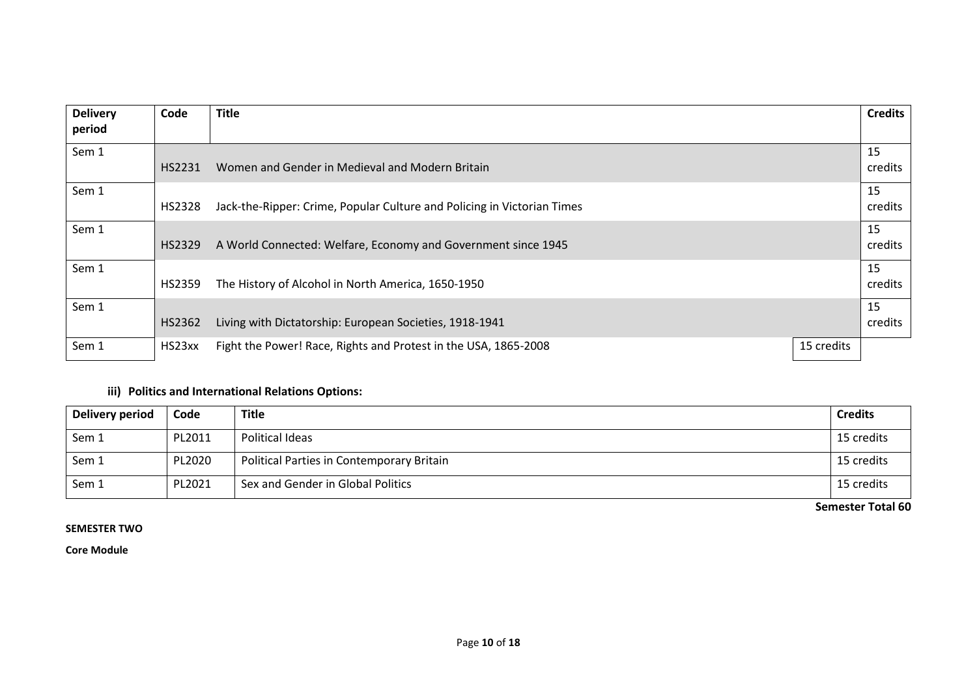| <b>Delivery</b> | Code   | <b>Title</b>                                                            |            | <b>Credits</b> |
|-----------------|--------|-------------------------------------------------------------------------|------------|----------------|
| period          |        |                                                                         |            |                |
| Sem 1           | HS2231 | Women and Gender in Medieval and Modern Britain                         |            | 15<br>credits  |
| Sem 1           | HS2328 | Jack-the-Ripper: Crime, Popular Culture and Policing in Victorian Times |            | 15<br>credits  |
| Sem 1           | HS2329 | A World Connected: Welfare, Economy and Government since 1945           |            | 15<br>credits  |
| Sem 1           | HS2359 | The History of Alcohol in North America, 1650-1950                      |            | 15<br>credits  |
| Sem 1           | HS2362 | Living with Dictatorship: European Societies, 1918-1941                 |            | 15<br>credits  |
| Sem 1           | HS23xx | Fight the Power! Race, Rights and Protest in the USA, 1865-2008         | 15 credits |                |

# **iii) Politics and International Relations Options:**

| Delivery period | Code   | <b>Title</b>                              | <b>Credits</b> |
|-----------------|--------|-------------------------------------------|----------------|
| Sem 1           | PL2011 | Political Ideas                           | 15 credits     |
| Sem 1           | PL2020 | Political Parties in Contemporary Britain | 15 credits     |
| Sem 1           | PL2021 | Sex and Gender in Global Politics         | 15 credits     |

**Semester Total 60**

### **SEMESTER TWO**

**Core Module**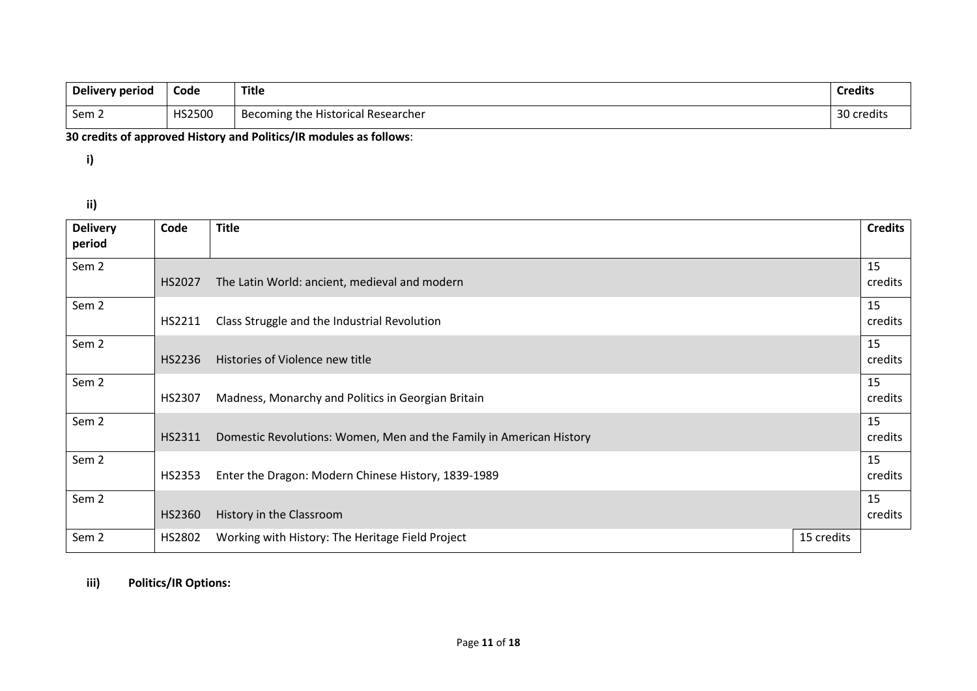| Delivery period | Code   | Title                              | <b>Credits</b> |
|-----------------|--------|------------------------------------|----------------|
| Sem 2           | HS2500 | Becoming the Historical Researcher | 30 credits     |

# **30 credits of approved History and Politics/IR modules as follows**:

**i)**

**ii)**

| <b>Delivery</b><br>period | Code   | <b>Title</b>                                                        |            | <b>Credits</b> |
|---------------------------|--------|---------------------------------------------------------------------|------------|----------------|
| Sem <sub>2</sub>          | HS2027 | The Latin World: ancient, medieval and modern                       |            | 15<br>credits  |
| Sem 2                     | HS2211 | Class Struggle and the Industrial Revolution                        |            | 15<br>credits  |
| Sem <sub>2</sub>          | HS2236 | Histories of Violence new title                                     |            | 15<br>credits  |
| Sem <sub>2</sub>          | HS2307 | Madness, Monarchy and Politics in Georgian Britain                  |            | 15<br>credits  |
| Sem <sub>2</sub>          | HS2311 | Domestic Revolutions: Women, Men and the Family in American History |            | 15<br>credits  |
| Sem <sub>2</sub>          | HS2353 | Enter the Dragon: Modern Chinese History, 1839-1989                 |            | 15<br>credits  |
| Sem <sub>2</sub>          | HS2360 | History in the Classroom                                            |            | 15<br>credits  |
| Sem <sub>2</sub>          | HS2802 | Working with History: The Heritage Field Project                    | 15 credits |                |

# **iii) Politics/IR Options:**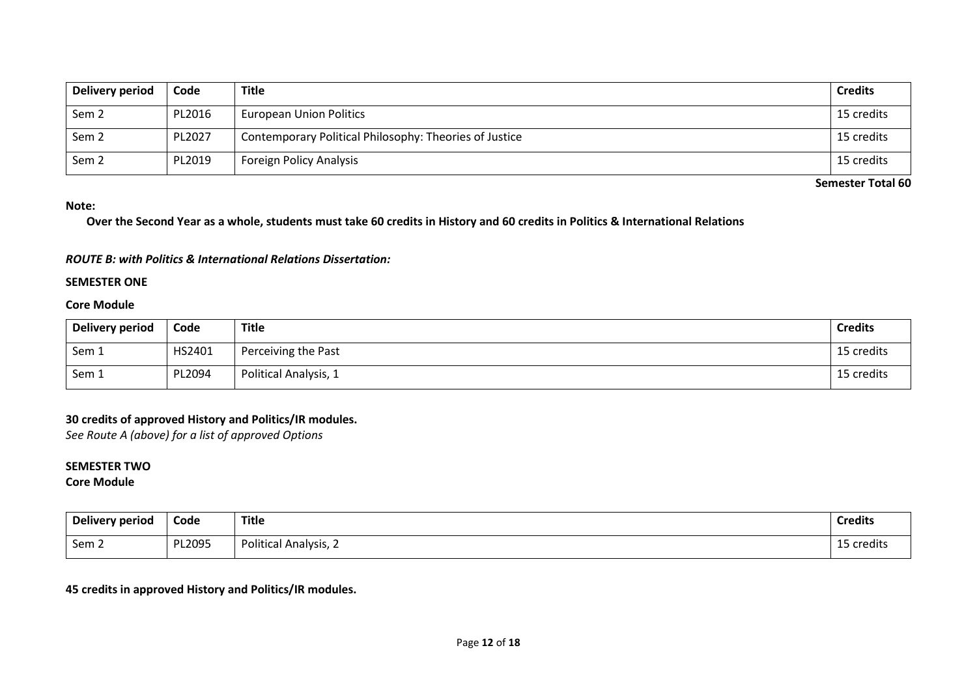| Delivery period  | Code   | <b>Title</b>                                           | <b>Credits</b> |
|------------------|--------|--------------------------------------------------------|----------------|
| Sem <sub>2</sub> | PL2016 | <b>European Union Politics</b>                         | 15 credits     |
| Sem <sub>2</sub> | PL2027 | Contemporary Political Philosophy: Theories of Justice | 15 credits     |
| Sem <sub>2</sub> | PL2019 | <b>Foreign Policy Analysis</b>                         | 15 credits     |

**Semester Total 60**

#### **Note:**

**Over the Second Year as a whole, students must take 60 credits in History and 60 credits in Politics & International Relations**

#### *ROUTE B: with Politics & International Relations Dissertation:*

#### **SEMESTER ONE**

### **Core Module**

| Delivery period | Code   | <b>Title</b>          | <b>Credits</b> |
|-----------------|--------|-----------------------|----------------|
| Sem 1           | HS2401 | Perceiving the Past   | 15 credits     |
| Sem 1           | PL2094 | Political Analysis, 1 | 15 credits     |

### **30 credits of approved History and Politics/IR modules.**

*See Route A (above) for a list of approved Options*

### **SEMESTER TWO**

### **Core Module**

| Delivery period  | Code   | <b>Title</b><br>$ -$         | <b>Credits</b>                           |
|------------------|--------|------------------------------|------------------------------------------|
| Sem <sub>2</sub> | PL2095 | <b>Political Analysis, 2</b> | $\overline{A}$ $\overline{B}$<br>credits |

### **45 credits in approved History and Politics/IR modules.**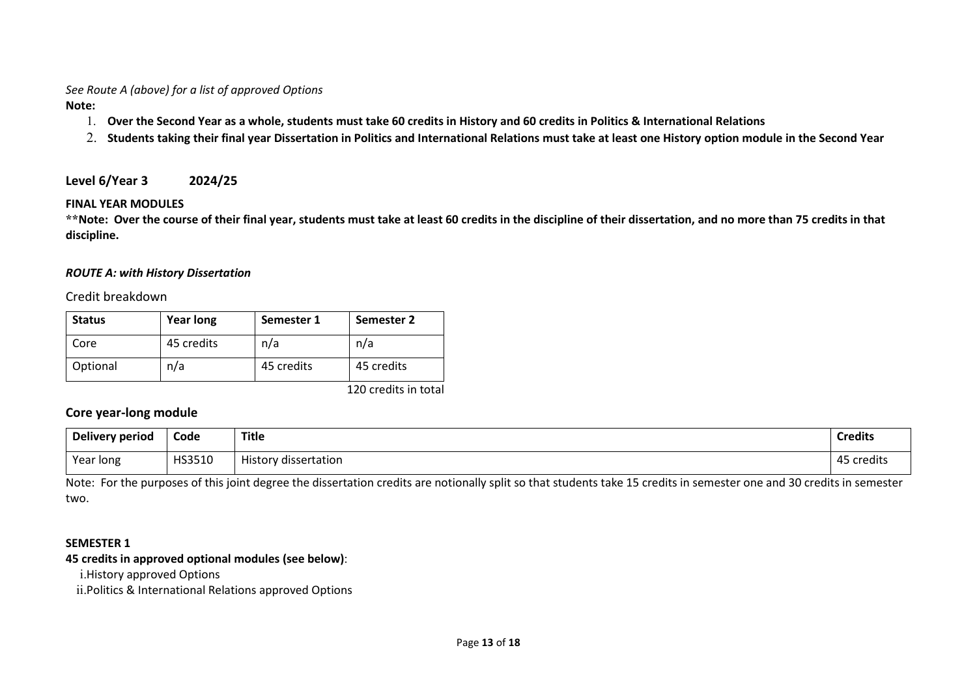*See Route A (above) for a list of approved Options*

**Note:**

- 1. **Over the Second Year as a whole, students must take 60 credits in History and 60 credits in Politics & International Relations**
- 2. **Students taking their final year Dissertation in Politics and International Relations must take at least one History option module in the Second Year**

**Level 6/Year 3 2024/25**

# **FINAL YEAR MODULES**

**\*\*Note: Over the course of their final year, students must take at least 60 credits in the discipline of their dissertation, and no more than 75 credits in that discipline.**

# *ROUTE A: with History Dissertation*

Credit breakdown

| <b>Status</b> | <b>Year long</b> | Semester 1 | Semester 2             |
|---------------|------------------|------------|------------------------|
| Core          | 45 credits       | n/a        | n/a                    |
| Optional      | n/a              | 45 credits | 45 credits             |
|               |                  |            | $120$ aradita in tatal |

120 credits in total

# **Core year-long module**

| Delivery period | Code   | <b>Title</b>         | <b>Credits</b> |
|-----------------|--------|----------------------|----------------|
| Year long       | HS3510 | History dissertation | credits        |

Note: For the purposes of this joint degree the dissertation credits are notionally split so that students take 15 credits in semester one and 30 credits in semester two.

# **SEMESTER 1**

# **45 credits in approved optional modules (see below)**:

i.History approved Options

ii.Politics & International Relations approved Options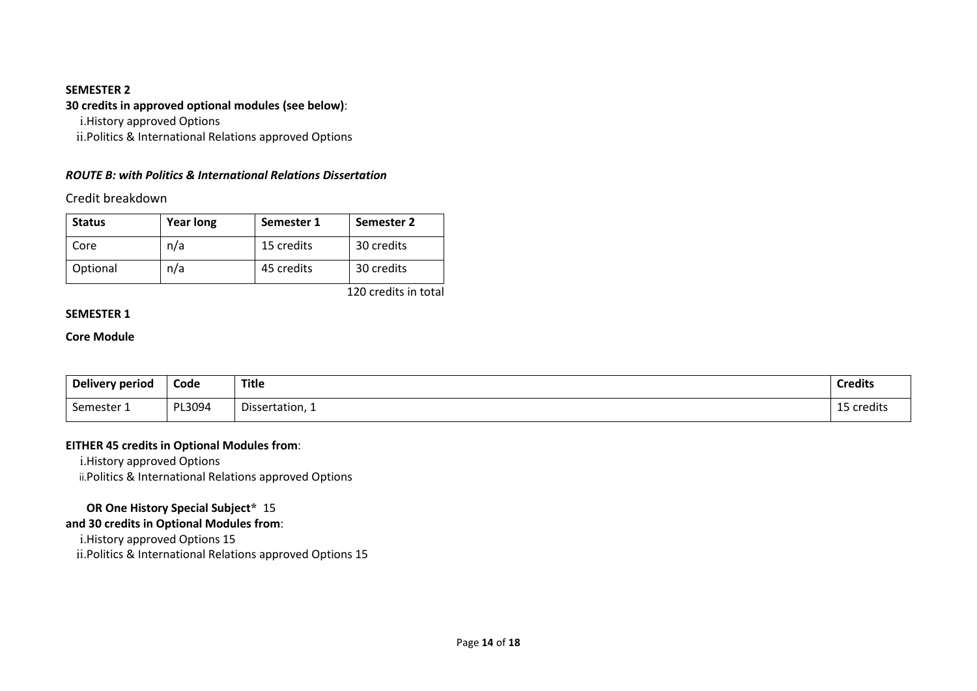### **SEMESTER 2**

# **30 credits in approved optional modules (see below)**:

i.History approved Options

ii.Politics & International Relations approved Options

# *ROUTE B: with Politics & International Relations Dissertation*

Credit breakdown

| <b>Status</b> | <b>Year long</b> | Semester 1 | Semester 2 |
|---------------|------------------|------------|------------|
| Core          | n/a              | 15 credits | 30 credits |
| Optional      | n/a              | 45 credits | 30 credits |

120 credits in total

### **SEMESTER 1**

### **Core Module**

| Delivery period | Code   | <b>Title</b>    | <b>Credits</b> |
|-----------------|--------|-----------------|----------------|
| Semester 1      | PL3094 | Dissertation, 1 | 15 credits     |

### **EITHER 45 credits in Optional Modules from**:

i.History approved Options ii.Politics & International Relations approved Options

# **OR One History Special Subject\*** 15

# **and 30 credits in Optional Modules from**:

i.History approved Options 15

ii.Politics & International Relations approved Options 15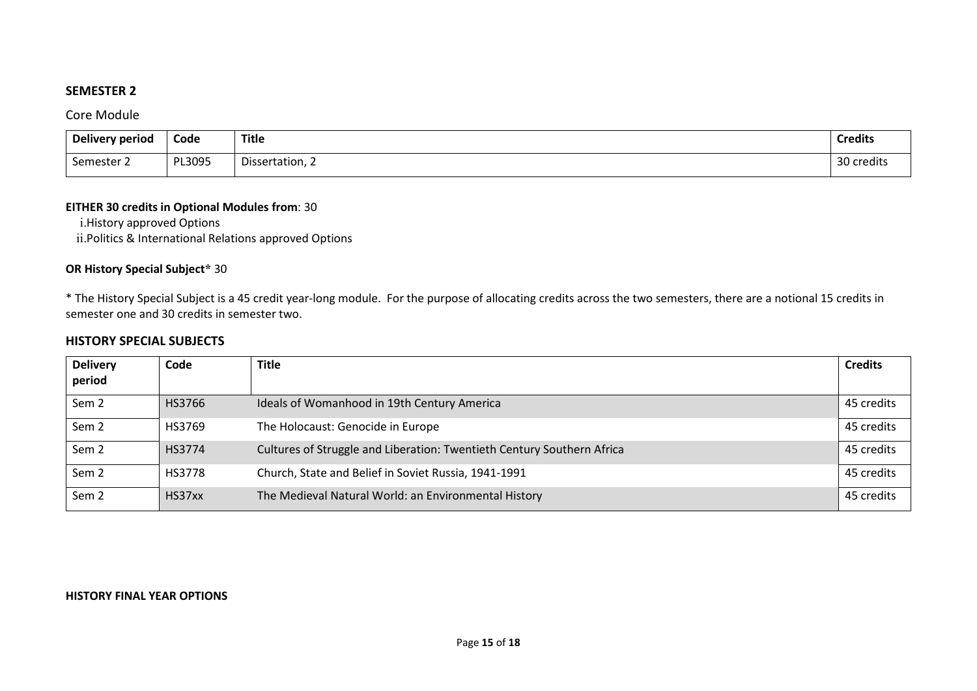# **SEMESTER 2**

Core Module

| Delivery period | Code   | <b>Title</b>    | <b>Credits</b>             |
|-----------------|--------|-----------------|----------------------------|
| Semester 2      | PL3095 | Dissertation, 2 | $\Omega$<br>credits)<br>υc |

### **EITHER 30 credits in Optional Modules from**: 30

i.History approved Options ii.Politics & International Relations approved Options

# **OR History Special Subject\*** 30

\* The History Special Subject is a 45 credit year-long module. For the purpose of allocating credits across the two semesters, there are a notional 15 credits in semester one and 30 credits in semester two.

### **HISTORY SPECIAL SUBJECTS**

| <b>Delivery</b><br>period | Code          | Title                                                                  | <b>Credits</b> |
|---------------------------|---------------|------------------------------------------------------------------------|----------------|
| Sem <sub>2</sub>          | HS3766        | Ideals of Womanhood in 19th Century America                            | 45 credits     |
| Sem <sub>2</sub>          | HS3769        | The Holocaust: Genocide in Europe                                      | 45 credits     |
| Sem <sub>2</sub>          | HS3774        | Cultures of Struggle and Liberation: Twentieth Century Southern Africa | 45 credits     |
| Sem <sub>2</sub>          | <b>HS3778</b> | Church, State and Belief in Soviet Russia, 1941-1991                   | 45 credits     |
| Sem <sub>2</sub>          | HS37xx        | The Medieval Natural World: an Environmental History                   | 45 credits     |

### **HISTORY FINAL YEAR OPTIONS**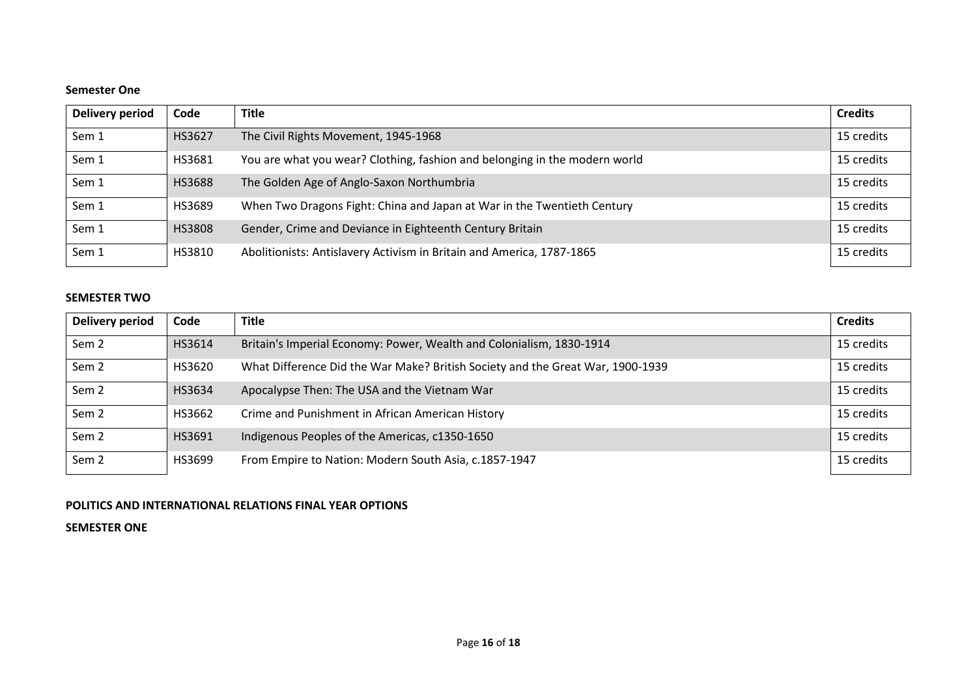### **Semester One**

| Delivery period | Code   | <b>Title</b>                                                               | <b>Credits</b> |
|-----------------|--------|----------------------------------------------------------------------------|----------------|
| Sem 1           | HS3627 | The Civil Rights Movement, 1945-1968                                       | 15 credits     |
| Sem 1           | HS3681 | You are what you wear? Clothing, fashion and belonging in the modern world | 15 credits     |
| Sem 1           | HS3688 | The Golden Age of Anglo-Saxon Northumbria                                  | 15 credits     |
| Sem 1           | HS3689 | When Two Dragons Fight: China and Japan at War in the Twentieth Century    | 15 credits     |
| Sem 1           | HS3808 | Gender, Crime and Deviance in Eighteenth Century Britain                   | 15 credits     |
| Sem 1           | HS3810 | Abolitionists: Antislavery Activism in Britain and America, 1787-1865      | 15 credits     |

### **SEMESTER TWO**

| Delivery period  | Code   | <b>Title</b>                                                                   | <b>Credits</b> |
|------------------|--------|--------------------------------------------------------------------------------|----------------|
| Sem <sub>2</sub> | HS3614 | Britain's Imperial Economy: Power, Wealth and Colonialism, 1830-1914           | 15 credits     |
| Sem <sub>2</sub> | HS3620 | What Difference Did the War Make? British Society and the Great War, 1900-1939 | 15 credits     |
| Sem <sub>2</sub> | HS3634 | Apocalypse Then: The USA and the Vietnam War                                   | 15 credits     |
| Sem <sub>2</sub> | HS3662 | Crime and Punishment in African American History                               | 15 credits     |
| Sem <sub>2</sub> | HS3691 | Indigenous Peoples of the Americas, c1350-1650                                 | 15 credits     |
| Sem <sub>2</sub> | HS3699 | From Empire to Nation: Modern South Asia, c.1857-1947                          | 15 credits     |

### **POLITICS AND INTERNATIONAL RELATIONS FINAL YEAR OPTIONS**

**SEMESTER ONE**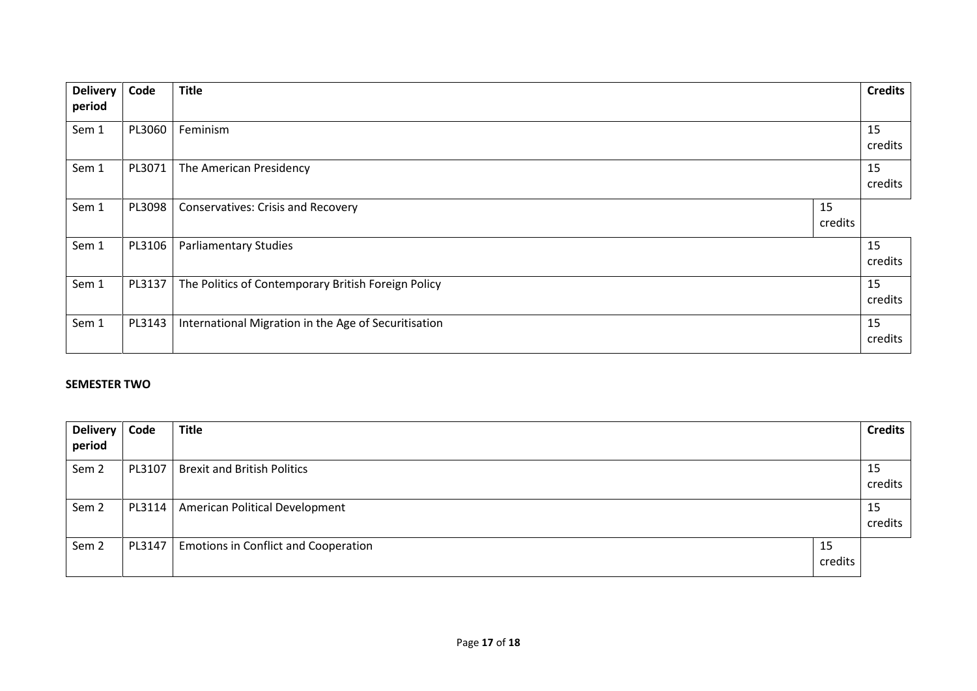| <b>Delivery</b> | Code   | <b>Title</b>                                         |               | <b>Credits</b> |
|-----------------|--------|------------------------------------------------------|---------------|----------------|
| period          |        |                                                      |               |                |
| Sem 1           | PL3060 | Feminism                                             |               | 15<br>credits  |
| Sem 1           | PL3071 | The American Presidency                              |               | 15<br>credits  |
| Sem 1           | PL3098 | <b>Conservatives: Crisis and Recovery</b>            | 15<br>credits |                |
| Sem 1           | PL3106 | <b>Parliamentary Studies</b>                         |               | 15<br>credits  |
| Sem 1           | PL3137 | The Politics of Contemporary British Foreign Policy  |               | 15<br>credits  |
| Sem 1           | PL3143 | International Migration in the Age of Securitisation |               | 15<br>credits  |

### **SEMESTER TWO**

| Delivery  <br>period | Code   | <b>Title</b>                                |               | <b>Credits</b> |
|----------------------|--------|---------------------------------------------|---------------|----------------|
| Sem 2                |        | PL3107   Brexit and British Politics        |               | 15<br>credits  |
| Sem 2                | PL3114 | American Political Development              |               | 15<br>credits  |
| Sem 2                | PL3147 | <b>Emotions in Conflict and Cooperation</b> | 15<br>credits |                |